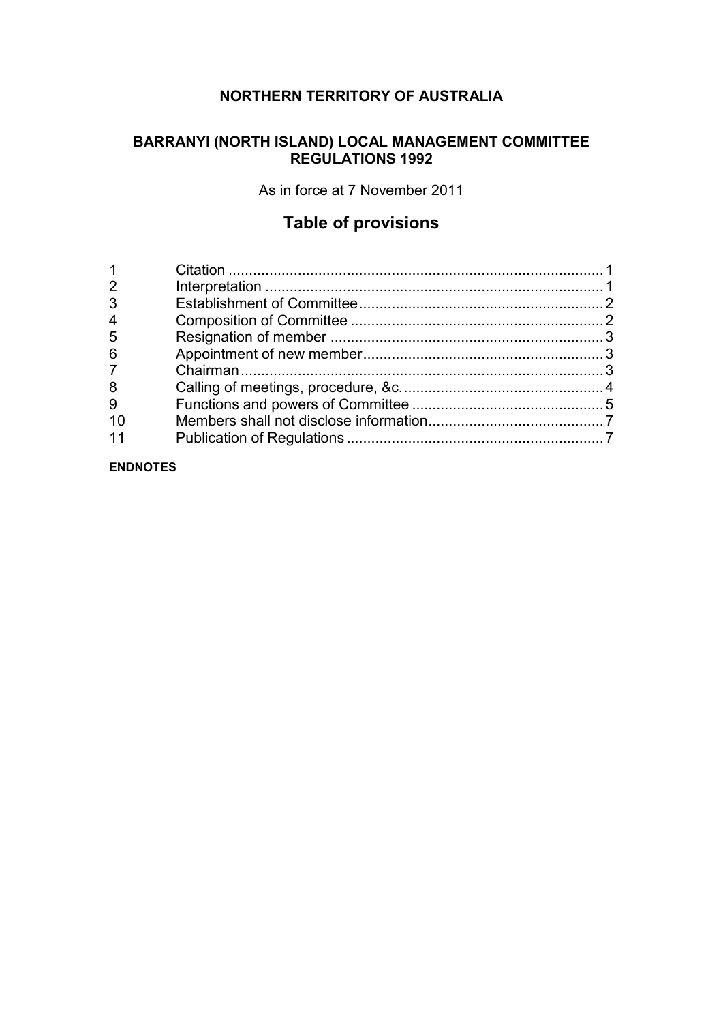# **NORTHERN TERRITORY OF AUSTRALIA**

## **BARRANYI (NORTH ISLAND) LOCAL MANAGEMENT COMMITTEE REGULATIONS 1992**

As in force at 7 November 2011

# **Table of provisions**

| $\overline{2}$ |  |
|----------------|--|
| 3              |  |
| 4              |  |
| 5              |  |
| 6              |  |
| $\overline{7}$ |  |
| 8              |  |
| 9              |  |
| -10            |  |
|                |  |
|                |  |

#### **ENDNOTES**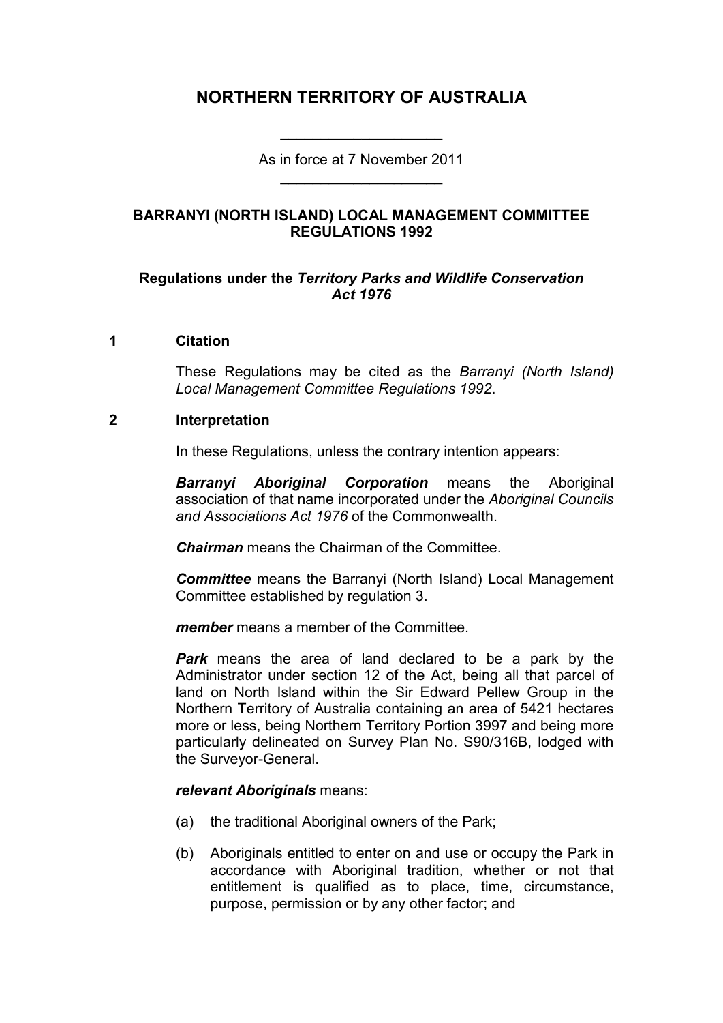# **NORTHERN TERRITORY OF AUSTRALIA**

As in force at 7 November 2011 \_\_\_\_\_\_\_\_\_\_\_\_\_\_\_\_\_\_\_\_

\_\_\_\_\_\_\_\_\_\_\_\_\_\_\_\_\_\_\_\_

#### **BARRANYI (NORTH ISLAND) LOCAL MANAGEMENT COMMITTEE REGULATIONS 1992**

#### **Regulations under the** *Territory Parks and Wildlife Conservation Act 1976*

#### **1 Citation**

These Regulations may be cited as the *Barranyi (North Island) Local Management Committee Regulations 1992*.

#### **2 Interpretation**

In these Regulations, unless the contrary intention appears:

*Barranyi Aboriginal Corporation* means the Aboriginal association of that name incorporated under the *Aboriginal Councils and Associations Act 1976* of the Commonwealth.

*Chairman* means the Chairman of the Committee.

*Committee* means the Barranyi (North Island) Local Management Committee established by regulation 3.

*member* means a member of the Committee.

*Park* means the area of land declared to be a park by the Administrator under section 12 of the Act, being all that parcel of land on North Island within the Sir Edward Pellew Group in the Northern Territory of Australia containing an area of 5421 hectares more or less, being Northern Territory Portion 3997 and being more particularly delineated on Survey Plan No. S90/316B, lodged with the Surveyor-General.

#### *relevant Aboriginals* means:

- (a) the traditional Aboriginal owners of the Park;
- (b) Aboriginals entitled to enter on and use or occupy the Park in accordance with Aboriginal tradition, whether or not that entitlement is qualified as to place, time, circumstance, purpose, permission or by any other factor; and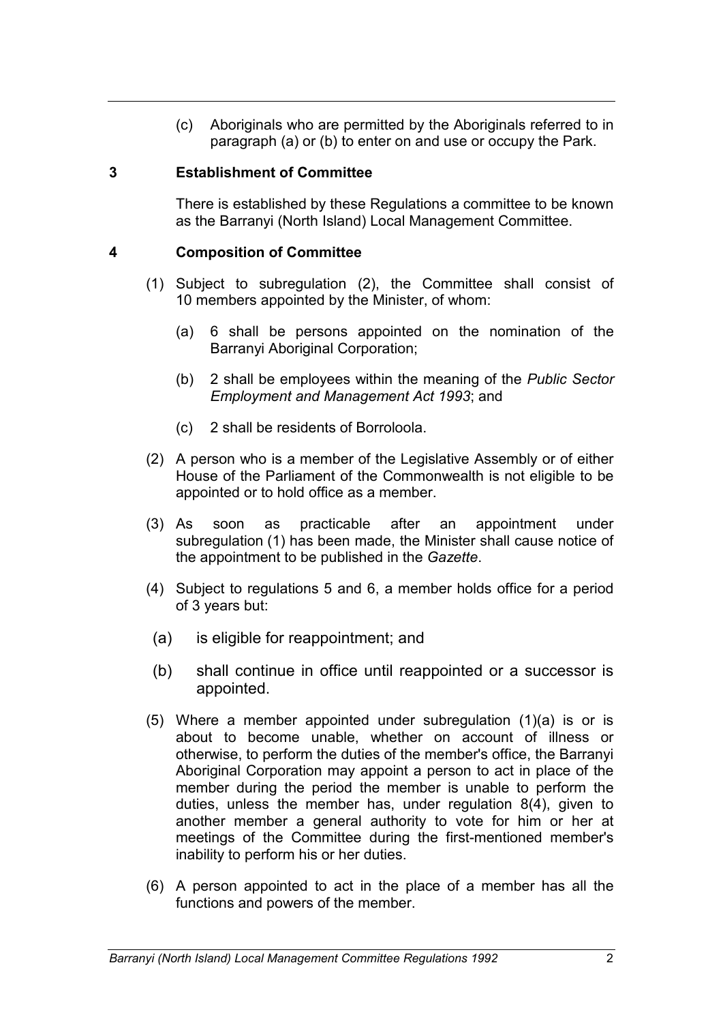(c) Aboriginals who are permitted by the Aboriginals referred to in paragraph (a) or (b) to enter on and use or occupy the Park.

#### **3 Establishment of Committee**

There is established by these Regulations a committee to be known as the Barranyi (North Island) Local Management Committee.

### **4 Composition of Committee**

- (1) Subject to subregulation (2), the Committee shall consist of 10 members appointed by the Minister, of whom:
	- (a) 6 shall be persons appointed on the nomination of the Barranyi Aboriginal Corporation;
	- (b) 2 shall be employees within the meaning of the *Public Sector Employment and Management Act 1993*; and
	- (c) 2 shall be residents of Borroloola.
- (2) A person who is a member of the Legislative Assembly or of either House of the Parliament of the Commonwealth is not eligible to be appointed or to hold office as a member.
- (3) As soon as practicable after an appointment under subregulation (1) has been made, the Minister shall cause notice of the appointment to be published in the *Gazette*.
- (4) Subject to regulations 5 and 6, a member holds office for a period of 3 years but:
- (a) is eligible for reappointment; and
- (b) shall continue in office until reappointed or a successor is appointed.
- (5) Where a member appointed under subregulation (1)(a) is or is about to become unable, whether on account of illness or otherwise, to perform the duties of the member's office, the Barranyi Aboriginal Corporation may appoint a person to act in place of the member during the period the member is unable to perform the duties, unless the member has, under regulation 8(4), given to another member a general authority to vote for him or her at meetings of the Committee during the first-mentioned member's inability to perform his or her duties.
- (6) A person appointed to act in the place of a member has all the functions and powers of the member.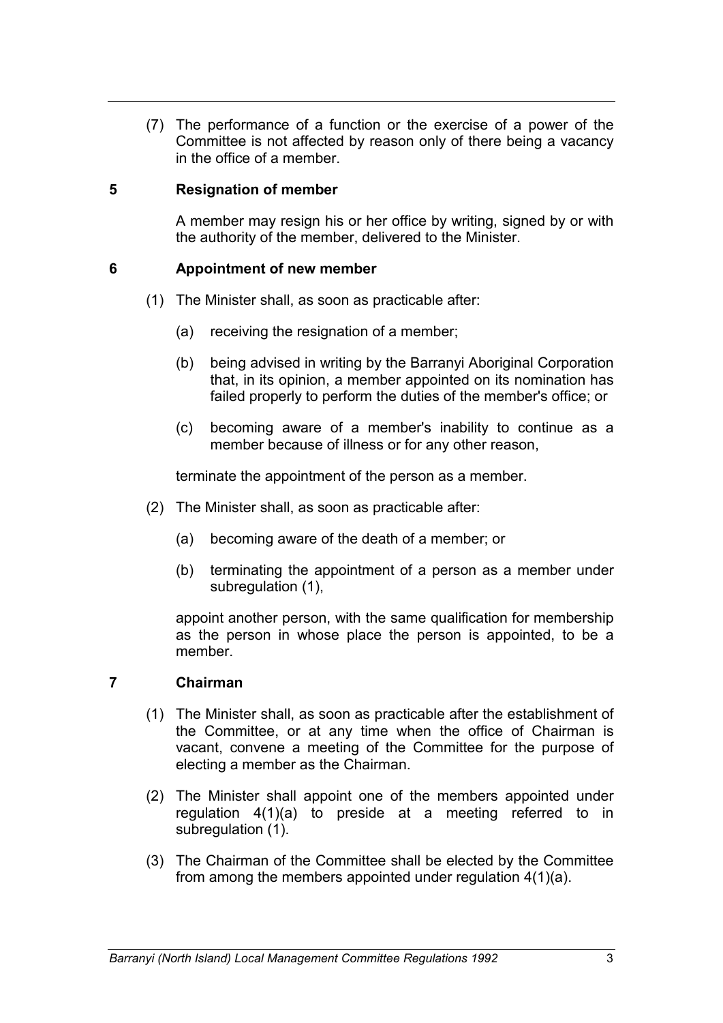(7) The performance of a function or the exercise of a power of the Committee is not affected by reason only of there being a vacancy in the office of a member.

#### **5 Resignation of member**

A member may resign his or her office by writing, signed by or with the authority of the member, delivered to the Minister.

#### **6 Appointment of new member**

- (1) The Minister shall, as soon as practicable after:
	- (a) receiving the resignation of a member;
	- (b) being advised in writing by the Barranyi Aboriginal Corporation that, in its opinion, a member appointed on its nomination has failed properly to perform the duties of the member's office; or
	- (c) becoming aware of a member's inability to continue as a member because of illness or for any other reason,

terminate the appointment of the person as a member.

- (2) The Minister shall, as soon as practicable after:
	- (a) becoming aware of the death of a member; or
	- (b) terminating the appointment of a person as a member under subregulation (1),

appoint another person, with the same qualification for membership as the person in whose place the person is appointed, to be a member.

#### **7 Chairman**

- (1) The Minister shall, as soon as practicable after the establishment of the Committee, or at any time when the office of Chairman is vacant, convene a meeting of the Committee for the purpose of electing a member as the Chairman.
- (2) The Minister shall appoint one of the members appointed under regulation 4(1)(a) to preside at a meeting referred to in subregulation (1).
- (3) The Chairman of the Committee shall be elected by the Committee from among the members appointed under regulation 4(1)(a).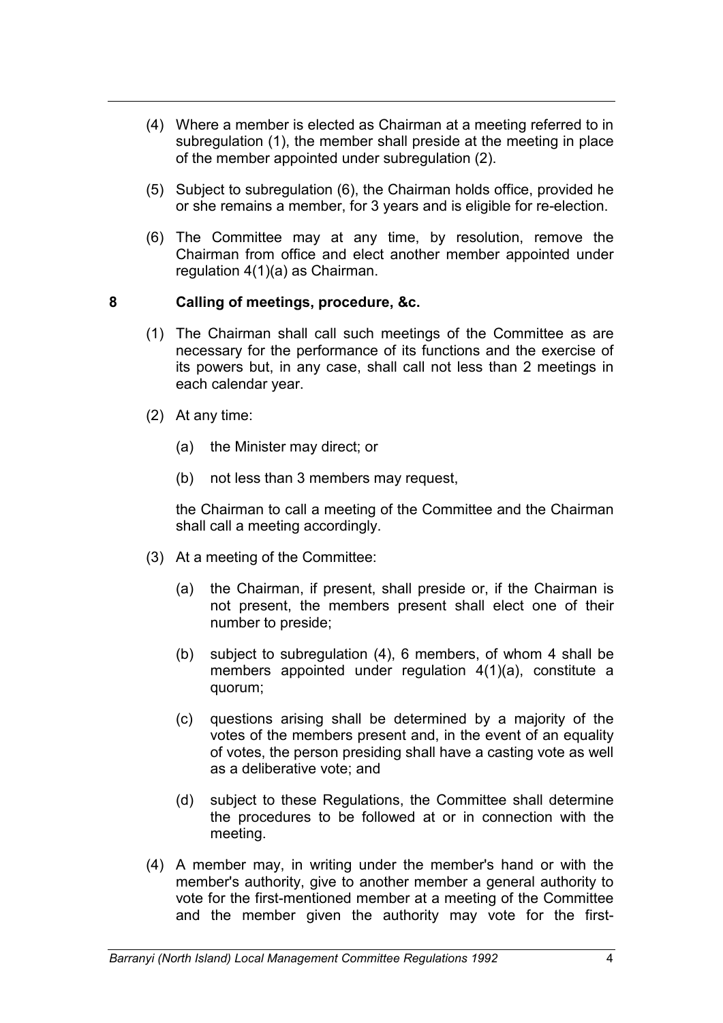- (4) Where a member is elected as Chairman at a meeting referred to in subregulation (1), the member shall preside at the meeting in place of the member appointed under subregulation (2).
- (5) Subject to subregulation (6), the Chairman holds office, provided he or she remains a member, for 3 years and is eligible for re-election.
- (6) The Committee may at any time, by resolution, remove the Chairman from office and elect another member appointed under regulation 4(1)(a) as Chairman.

#### **8 Calling of meetings, procedure, &c.**

- (1) The Chairman shall call such meetings of the Committee as are necessary for the performance of its functions and the exercise of its powers but, in any case, shall call not less than 2 meetings in each calendar year.
- (2) At any time:
	- (a) the Minister may direct; or
	- (b) not less than 3 members may request,

the Chairman to call a meeting of the Committee and the Chairman shall call a meeting accordingly.

- (3) At a meeting of the Committee:
	- (a) the Chairman, if present, shall preside or, if the Chairman is not present, the members present shall elect one of their number to preside;
	- (b) subject to subregulation (4), 6 members, of whom 4 shall be members appointed under regulation 4(1)(a), constitute a quorum;
	- (c) questions arising shall be determined by a majority of the votes of the members present and, in the event of an equality of votes, the person presiding shall have a casting vote as well as a deliberative vote; and
	- (d) subject to these Regulations, the Committee shall determine the procedures to be followed at or in connection with the meeting.
- (4) A member may, in writing under the member's hand or with the member's authority, give to another member a general authority to vote for the first-mentioned member at a meeting of the Committee and the member given the authority may vote for the first-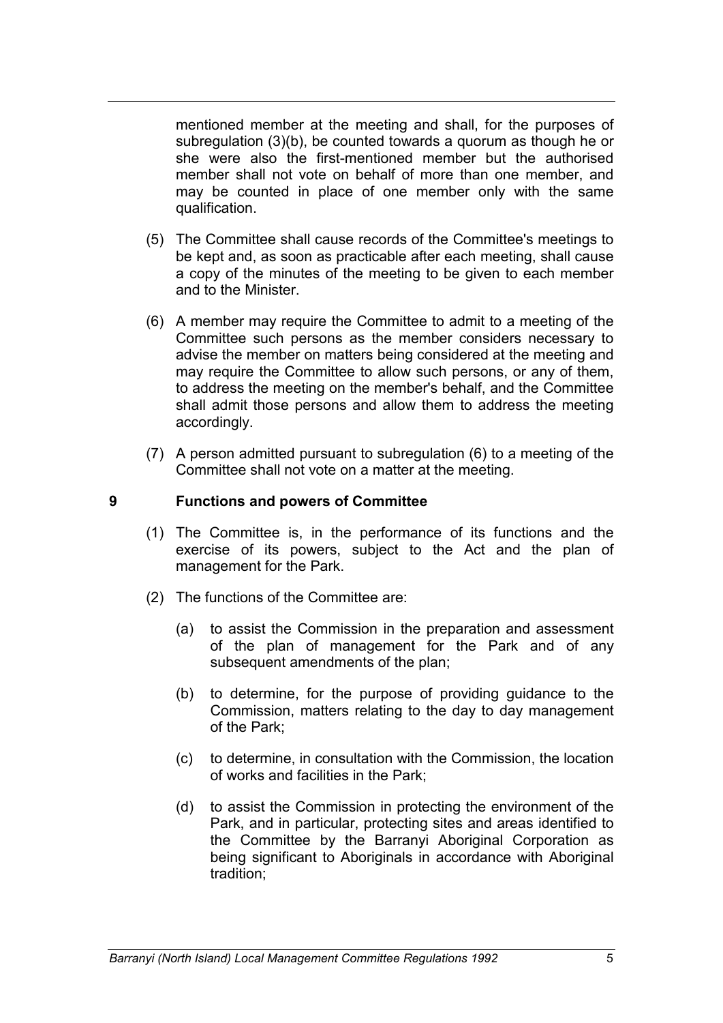mentioned member at the meeting and shall, for the purposes of subregulation (3)(b), be counted towards a quorum as though he or she were also the first-mentioned member but the authorised member shall not vote on behalf of more than one member, and may be counted in place of one member only with the same qualification.

- (5) The Committee shall cause records of the Committee's meetings to be kept and, as soon as practicable after each meeting, shall cause a copy of the minutes of the meeting to be given to each member and to the Minister.
- (6) A member may require the Committee to admit to a meeting of the Committee such persons as the member considers necessary to advise the member on matters being considered at the meeting and may require the Committee to allow such persons, or any of them, to address the meeting on the member's behalf, and the Committee shall admit those persons and allow them to address the meeting accordingly.
- (7) A person admitted pursuant to subregulation (6) to a meeting of the Committee shall not vote on a matter at the meeting.

#### **9 Functions and powers of Committee**

- (1) The Committee is, in the performance of its functions and the exercise of its powers, subject to the Act and the plan of management for the Park.
- (2) The functions of the Committee are:
	- (a) to assist the Commission in the preparation and assessment of the plan of management for the Park and of any subsequent amendments of the plan;
	- (b) to determine, for the purpose of providing guidance to the Commission, matters relating to the day to day management of the Park;
	- (c) to determine, in consultation with the Commission, the location of works and facilities in the Park;
	- (d) to assist the Commission in protecting the environment of the Park, and in particular, protecting sites and areas identified to the Committee by the Barranyi Aboriginal Corporation as being significant to Aboriginals in accordance with Aboriginal tradition;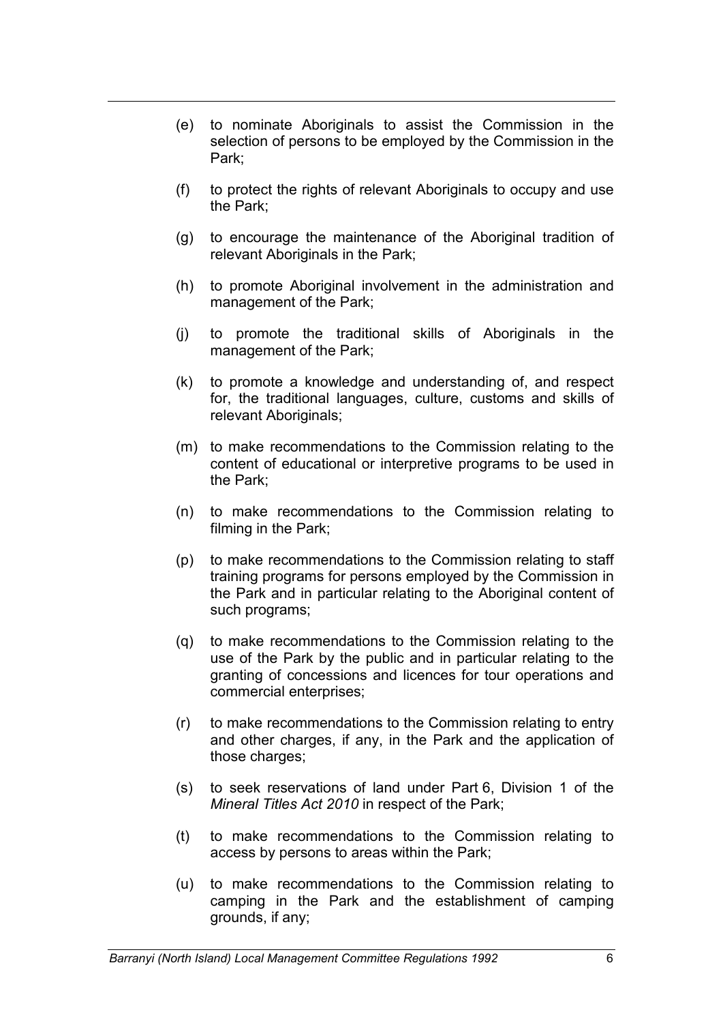- (e) to nominate Aboriginals to assist the Commission in the selection of persons to be employed by the Commission in the Park;
- (f) to protect the rights of relevant Aboriginals to occupy and use the Park;
- (g) to encourage the maintenance of the Aboriginal tradition of relevant Aboriginals in the Park;
- (h) to promote Aboriginal involvement in the administration and management of the Park;
- (j) to promote the traditional skills of Aboriginals in the management of the Park;
- (k) to promote a knowledge and understanding of, and respect for, the traditional languages, culture, customs and skills of relevant Aboriginals;
- (m) to make recommendations to the Commission relating to the content of educational or interpretive programs to be used in the Park;
- (n) to make recommendations to the Commission relating to filming in the Park;
- (p) to make recommendations to the Commission relating to staff training programs for persons employed by the Commission in the Park and in particular relating to the Aboriginal content of such programs;
- (q) to make recommendations to the Commission relating to the use of the Park by the public and in particular relating to the granting of concessions and licences for tour operations and commercial enterprises;
- (r) to make recommendations to the Commission relating to entry and other charges, if any, in the Park and the application of those charges;
- (s) to seek reservations of land under Part 6, Division 1 of the *Mineral Titles Act 2010* in respect of the Park;
- (t) to make recommendations to the Commission relating to access by persons to areas within the Park;
- (u) to make recommendations to the Commission relating to camping in the Park and the establishment of camping grounds, if any;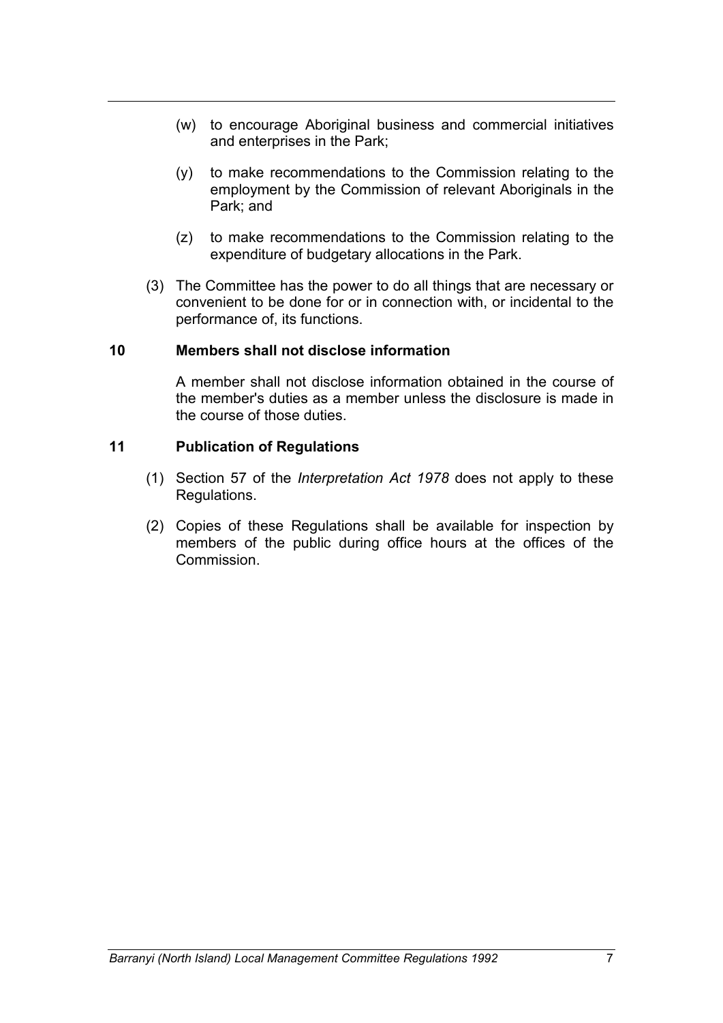- (w) to encourage Aboriginal business and commercial initiatives and enterprises in the Park;
- (y) to make recommendations to the Commission relating to the employment by the Commission of relevant Aboriginals in the Park; and
- (z) to make recommendations to the Commission relating to the expenditure of budgetary allocations in the Park.
- (3) The Committee has the power to do all things that are necessary or convenient to be done for or in connection with, or incidental to the performance of, its functions.

#### **10 Members shall not disclose information**

A member shall not disclose information obtained in the course of the member's duties as a member unless the disclosure is made in the course of those duties.

#### **11 Publication of Regulations**

- (1) Section 57 of the *Interpretation Act 1978* does not apply to these Regulations.
- (2) Copies of these Regulations shall be available for inspection by members of the public during office hours at the offices of the Commission.